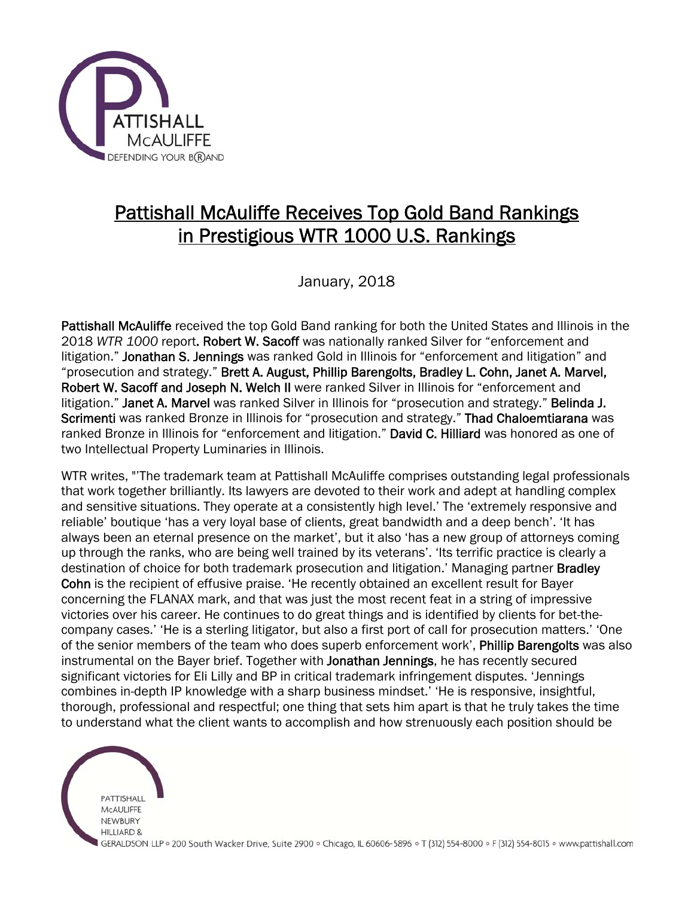

## Pattishall McAuliffe Receives Top Gold Band Rankings in Prestigious WTR 1000 U.S. Rankings

January, 2018

Pattishall McAuliffe received the top Gold Band ranking for both the United States and Illinois in the 2018 *WTR 1000* report. Robert W. Sacoff was nationally ranked Silver for "enforcement and litigation." Jonathan S. Jennings was ranked Gold in Illinois for "enforcement and litigation" and "prosecution and strategy." Brett A. August, Phillip Barengolts, Bradley L. Cohn, Janet A. Marvel, Robert W. Sacoff and Joseph N. Welch II were ranked Silver in Illinois for "enforcement and litigation." Janet A. Marvel was ranked Silver in Illinois for "prosecution and strategy." Belinda J. Scrimenti was ranked Bronze in Illinois for "prosecution and strategy." Thad Chaloemtiarana was ranked Bronze in Illinois for "enforcement and litigation." David C. Hilliard was honored as one of two Intellectual Property Luminaries in Illinois.

WTR writes, "'The trademark team at Pattishall McAuliffe comprises outstanding legal professionals that work together brilliantly. Its lawyers are devoted to their work and adept at handling complex and sensitive situations. They operate at a consistently high level.' The 'extremely responsive and reliable' boutique 'has a very loyal base of clients, great bandwidth and a deep bench'. 'It has always been an eternal presence on the market', but it also 'has a new group of attorneys coming up through the ranks, who are being well trained by its veterans'. 'Its terrific practice is clearly a destination of choice for both trademark prosecution and litigation.' Managing partner **Bradley** Cohn is the recipient of effusive praise. 'He recently obtained an excellent result for Bayer concerning the FLANAX mark, and that was just the most recent feat in a string of impressive victories over his career. He continues to do great things and is identified by clients for bet-thecompany cases.' 'He is a sterling litigator, but also a first port of call for prosecution matters.' 'One of the senior members of the team who does superb enforcement work', Phillip Barengolts was also instrumental on the Bayer brief. Together with Jonathan Jennings, he has recently secured significant victories for Eli Lilly and BP in critical trademark infringement disputes. 'Jennings combines in-depth IP knowledge with a sharp business mindset.' 'He is responsive, insightful, thorough, professional and respectful; one thing that sets him apart is that he truly takes the time to understand what the client wants to accomplish and how strenuously each position should be